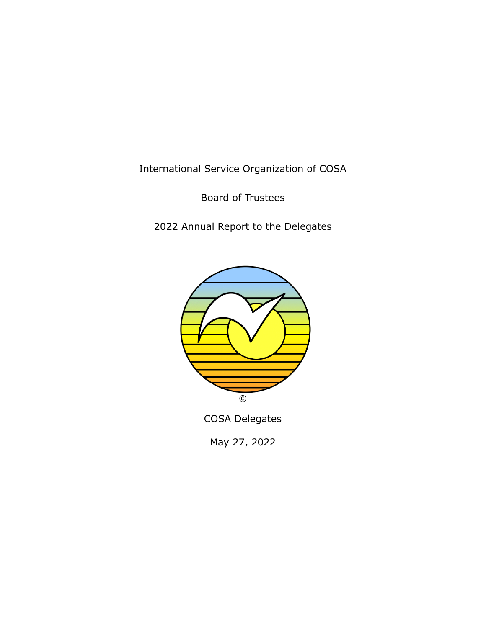International Service Organization of COSA

Board of Trustees

2022 Annual Report to the Delegates



COSA Delegates

May 27, 2022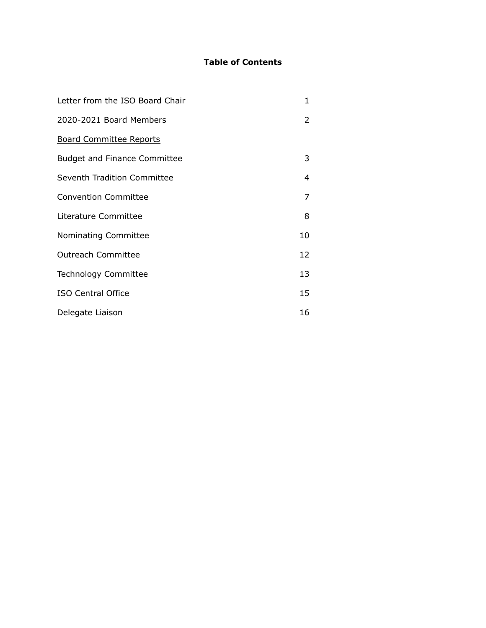# **Table of Contents**

| Letter from the ISO Board Chair     | 1  |
|-------------------------------------|----|
| 2020-2021 Board Members             | 2  |
| <b>Board Committee Reports</b>      |    |
| <b>Budget and Finance Committee</b> | 3  |
| Seventh Tradition Committee         | 4  |
| <b>Convention Committee</b>         | 7  |
| Literature Committee                | 8  |
| Nominating Committee                | 10 |
| <b>Outreach Committee</b>           | 12 |
| <b>Technology Committee</b>         | 13 |
| <b>ISO Central Office</b>           | 15 |
| Delegate Liaison                    | 16 |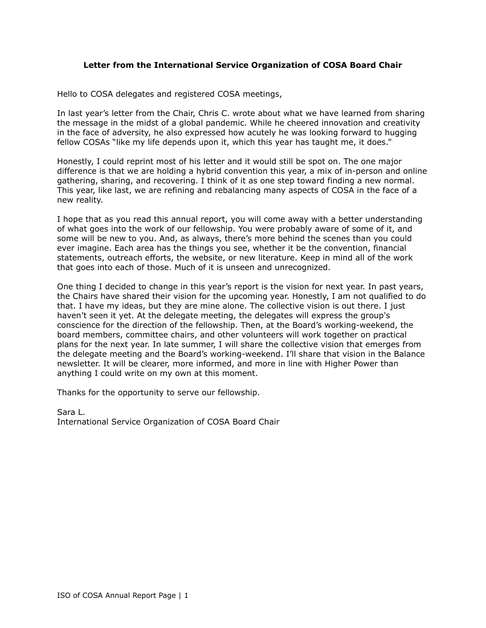## **Letter from the International Service Organization of COSA Board Chair**

Hello to COSA delegates and registered COSA meetings,

In last year's letter from the Chair, Chris C. wrote about what we have learned from sharing the message in the midst of a global pandemic. While he cheered innovation and creativity in the face of adversity, he also expressed how acutely he was looking forward to hugging fellow COSAs "like my life depends upon it, which this year has taught me, it does."

Honestly, I could reprint most of his letter and it would still be spot on. The one major difference is that we are holding a hybrid convention this year, a mix of in-person and online gathering, sharing, and recovering. I think of it as one step toward finding a new normal. This year, like last, we are refining and rebalancing many aspects of COSA in the face of a new reality.

I hope that as you read this annual report, you will come away with a better understanding of what goes into the work of our fellowship. You were probably aware of some of it, and some will be new to you. And, as always, there's more behind the scenes than you could ever imagine. Each area has the things you see, whether it be the convention, financial statements, outreach efforts, the website, or new literature. Keep in mind all of the work that goes into each of those. Much of it is unseen and unrecognized.

One thing I decided to change in this year's report is the vision for next year. In past years, the Chairs have shared their vision for the upcoming year. Honestly, I am not qualified to do that. I have my ideas, but they are mine alone. The collective vision is out there. I just haven't seen it yet. At the delegate meeting, the delegates will express the group's conscience for the direction of the fellowship. Then, at the Board's working-weekend, the board members, committee chairs, and other volunteers will work together on practical plans for the next year. In late summer, I will share the collective vision that emerges from the delegate meeting and the Board's working-weekend. I'll share that vision in the Balance newsletter. It will be clearer, more informed, and more in line with Higher Power than anything I could write on my own at this moment.

Thanks for the opportunity to serve our fellowship.

Sara L. International Service Organization of COSA Board Chair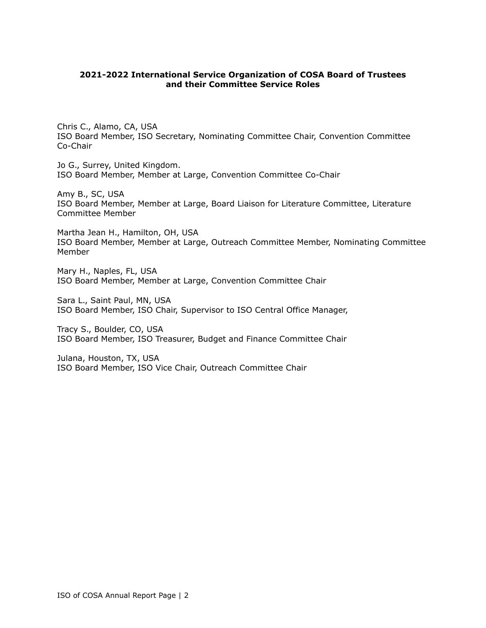### **2021-2022 International Service Organization of COSA Board of Trustees and their Committee Service Roles**

Chris C., Alamo, CA, USA ISO Board Member, ISO Secretary, Nominating Committee Chair, Convention Committee Co-Chair

Jo G., Surrey, United Kingdom. ISO Board Member, Member at Large, Convention Committee Co-Chair

Amy B., SC, USA ISO Board Member, Member at Large, Board Liaison for Literature Committee, Literature Committee Member

Martha Jean H., Hamilton, OH, USA ISO Board Member, Member at Large, Outreach Committee Member, Nominating Committee Member

Mary H., Naples, FL, USA ISO Board Member, Member at Large, Convention Committee Chair

Sara L., Saint Paul, MN, USA ISO Board Member, ISO Chair, Supervisor to ISO Central Office Manager,

Tracy S., Boulder, CO, USA ISO Board Member, ISO Treasurer, Budget and Finance Committee Chair

Julana, Houston, TX, USA ISO Board Member, ISO Vice Chair, Outreach Committee Chair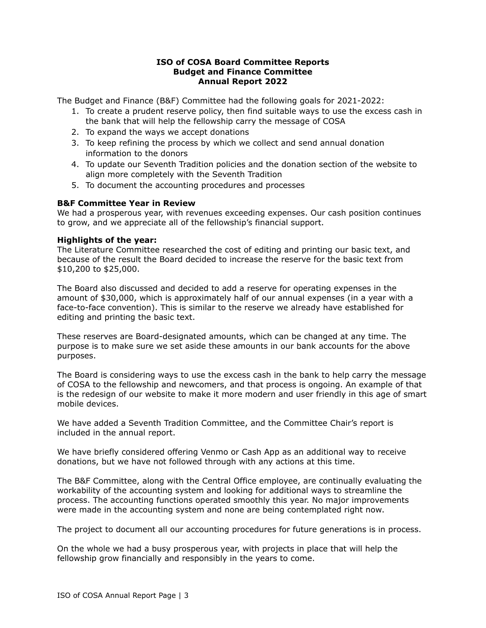### **ISO of COSA Board Committee Reports Budget and Finance Committee Annual Report 2022**

The Budget and Finance (B&F) Committee had the following goals for 2021-2022:

- 1. To create a prudent reserve policy, then find suitable ways to use the excess cash in the bank that will help the fellowship carry the message of COSA
- 2. To expand the ways we accept donations
- 3. To keep refining the process by which we collect and send annual donation information to the donors
- 4. To update our Seventh Tradition policies and the donation section of the website to align more completely with the Seventh Tradition
- 5. To document the accounting procedures and processes

## **B&F Committee Year in Review**

We had a prosperous year, with revenues exceeding expenses. Our cash position continues to grow, and we appreciate all of the fellowship's financial support.

### **Highlights of the year:**

The Literature Committee researched the cost of editing and printing our basic text, and because of the result the Board decided to increase the reserve for the basic text from \$10,200 to \$25,000.

The Board also discussed and decided to add a reserve for operating expenses in the amount of \$30,000, which is approximately half of our annual expenses (in a year with a face-to-face convention). This is similar to the reserve we already have established for editing and printing the basic text.

These reserves are Board-designated amounts, which can be changed at any time. The purpose is to make sure we set aside these amounts in our bank accounts for the above purposes.

The Board is considering ways to use the excess cash in the bank to help carry the message of COSA to the fellowship and newcomers, and that process is ongoing. An example of that is the redesign of our website to make it more modern and user friendly in this age of smart mobile devices.

We have added a Seventh Tradition Committee, and the Committee Chair's report is included in the annual report.

We have briefly considered offering Venmo or Cash App as an additional way to receive donations, but we have not followed through with any actions at this time.

The B&F Committee, along with the Central Office employee, are continually evaluating the workability of the accounting system and looking for additional ways to streamline the process. The accounting functions operated smoothly this year. No major improvements were made in the accounting system and none are being contemplated right now.

The project to document all our accounting procedures for future generations is in process.

On the whole we had a busy prosperous year, with projects in place that will help the fellowship grow financially and responsibly in the years to come.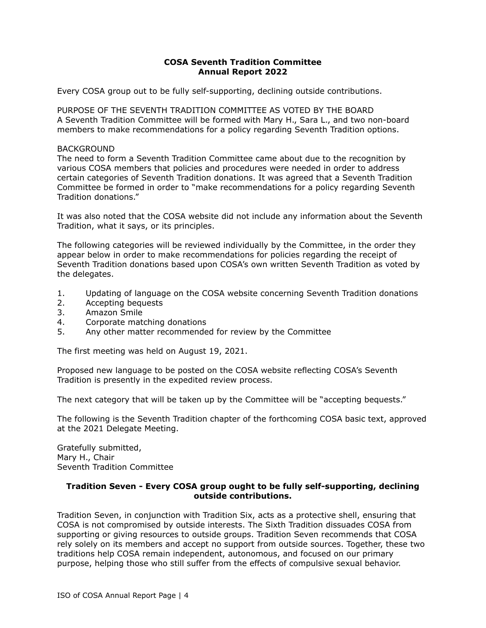## **COSA Seventh Tradition Committee Annual Report 2022**

Every COSA group out to be fully self-supporting, declining outside contributions.

PURPOSE OF THE SEVENTH TRADITION COMMITTEE AS VOTED BY THE BOARD A Seventh Tradition Committee will be formed with Mary H., Sara L., and two non-board members to make recommendations for a policy regarding Seventh Tradition options.

#### BACKGROUND

The need to form a Seventh Tradition Committee came about due to the recognition by various COSA members that policies and procedures were needed in order to address certain categories of Seventh Tradition donations. It was agreed that a Seventh Tradition Committee be formed in order to "make recommendations for a policy regarding Seventh Tradition donations."

It was also noted that the COSA website did not include any information about the Seventh Tradition, what it says, or its principles.

The following categories will be reviewed individually by the Committee, in the order they appear below in order to make recommendations for policies regarding the receipt of Seventh Tradition donations based upon COSA's own written Seventh Tradition as voted by the delegates.

- 1. Updating of language on the COSA website concerning Seventh Tradition donations
- 2. Accepting bequests
- 3. Amazon Smile
- 4. Corporate matching donations
- 5. Any other matter recommended for review by the Committee

The first meeting was held on August 19, 2021.

Proposed new language to be posted on the COSA website reflecting COSA's Seventh Tradition is presently in the expedited review process.

The next category that will be taken up by the Committee will be "accepting bequests."

The following is the Seventh Tradition chapter of the forthcoming COSA basic text, approved at the 2021 Delegate Meeting.

Gratefully submitted, Mary H., Chair Seventh Tradition Committee

### **Tradition Seven - Every COSA group ought to be fully self-supporting, declining outside contributions.**

Tradition Seven, in conjunction with Tradition Six, acts as a protective shell, ensuring that COSA is not compromised by outside interests. The Sixth Tradition dissuades COSA from supporting or giving resources to outside groups. Tradition Seven recommends that COSA rely solely on its members and accept no support from outside sources. Together, these two traditions help COSA remain independent, autonomous, and focused on our primary purpose, helping those who still suffer from the effects of compulsive sexual behavior.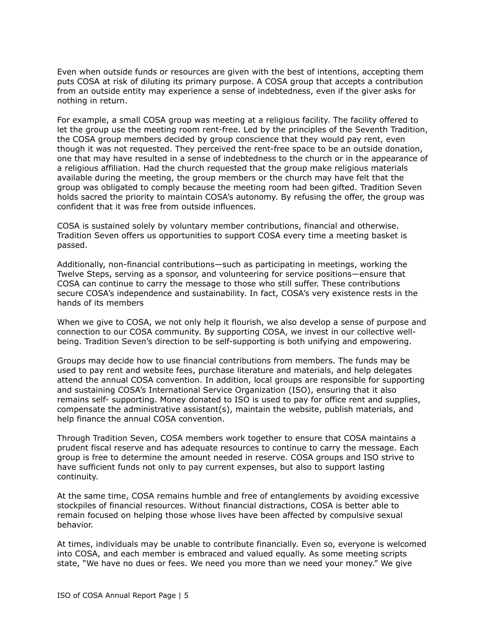Even when outside funds or resources are given with the best of intentions, accepting them puts COSA at risk of diluting its primary purpose. A COSA group that accepts a contribution from an outside entity may experience a sense of indebtedness, even if the giver asks for nothing in return.

For example, a small COSA group was meeting at a religious facility. The facility offered to let the group use the meeting room rent-free. Led by the principles of the Seventh Tradition, the COSA group members decided by group conscience that they would pay rent, even though it was not requested. They perceived the rent-free space to be an outside donation, one that may have resulted in a sense of indebtedness to the church or in the appearance of a religious affiliation. Had the church requested that the group make religious materials available during the meeting, the group members or the church may have felt that the group was obligated to comply because the meeting room had been gifted. Tradition Seven holds sacred the priority to maintain COSA's autonomy. By refusing the offer, the group was confident that it was free from outside influences.

COSA is sustained solely by voluntary member contributions, financial and otherwise. Tradition Seven offers us opportunities to support COSA every time a meeting basket is passed.

Additionally, non-financial contributions—such as participating in meetings, working the Twelve Steps, serving as a sponsor, and volunteering for service positions—ensure that COSA can continue to carry the message to those who still suffer. These contributions secure COSA's independence and sustainability. In fact, COSA's very existence rests in the hands of its members

When we give to COSA, we not only help it flourish, we also develop a sense of purpose and connection to our COSA community. By supporting COSA, we invest in our collective wellbeing. Tradition Seven's direction to be self-supporting is both unifying and empowering.

Groups may decide how to use financial contributions from members. The funds may be used to pay rent and website fees, purchase literature and materials, and help delegates attend the annual COSA convention. In addition, local groups are responsible for supporting and sustaining COSA's International Service Organization (ISO), ensuring that it also remains self- supporting. Money donated to ISO is used to pay for office rent and supplies, compensate the administrative assistant(s), maintain the website, publish materials, and help finance the annual COSA convention.

Through Tradition Seven, COSA members work together to ensure that COSA maintains a prudent fiscal reserve and has adequate resources to continue to carry the message. Each group is free to determine the amount needed in reserve. COSA groups and ISO strive to have sufficient funds not only to pay current expenses, but also to support lasting continuity.

At the same time, COSA remains humble and free of entanglements by avoiding excessive stockpiles of financial resources. Without financial distractions, COSA is better able to remain focused on helping those whose lives have been affected by compulsive sexual behavior.

At times, individuals may be unable to contribute financially. Even so, everyone is welcomed into COSA, and each member is embraced and valued equally. As some meeting scripts state, "We have no dues or fees. We need you more than we need your money." We give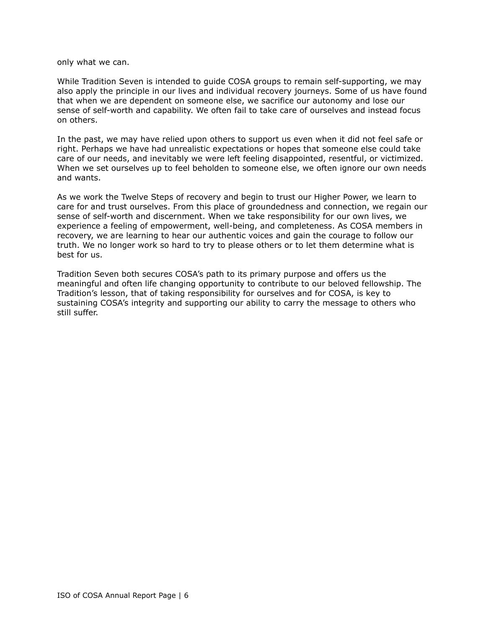only what we can.

While Tradition Seven is intended to guide COSA groups to remain self-supporting, we may also apply the principle in our lives and individual recovery journeys. Some of us have found that when we are dependent on someone else, we sacrifice our autonomy and lose our sense of self-worth and capability. We often fail to take care of ourselves and instead focus on others.

In the past, we may have relied upon others to support us even when it did not feel safe or right. Perhaps we have had unrealistic expectations or hopes that someone else could take care of our needs, and inevitably we were left feeling disappointed, resentful, or victimized. When we set ourselves up to feel beholden to someone else, we often ignore our own needs and wants.

As we work the Twelve Steps of recovery and begin to trust our Higher Power, we learn to care for and trust ourselves. From this place of groundedness and connection, we regain our sense of self-worth and discernment. When we take responsibility for our own lives, we experience a feeling of empowerment, well-being, and completeness. As COSA members in recovery, we are learning to hear our authentic voices and gain the courage to follow our truth. We no longer work so hard to try to please others or to let them determine what is best for us.

Tradition Seven both secures COSA's path to its primary purpose and offers us the meaningful and often life changing opportunity to contribute to our beloved fellowship. The Tradition's lesson, that of taking responsibility for ourselves and for COSA, is key to sustaining COSA's integrity and supporting our ability to carry the message to others who still suffer.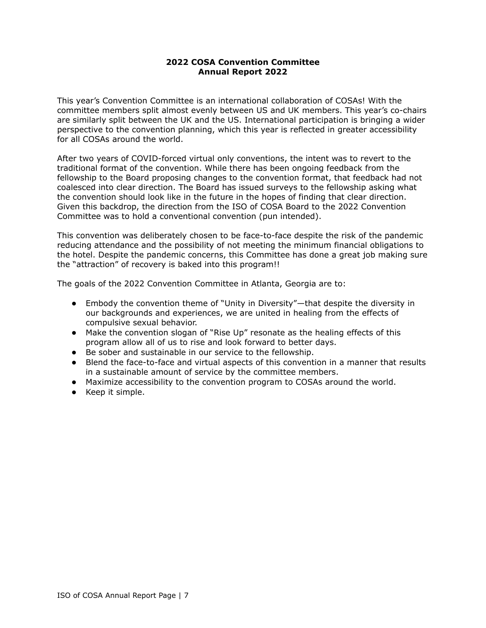## **2022 COSA Convention Committee Annual Report 2022**

This year's Convention Committee is an international collaboration of COSAs! With the committee members split almost evenly between US and UK members. This year's co-chairs are similarly split between the UK and the US. International participation is bringing a wider perspective to the convention planning, which this year is reflected in greater accessibility for all COSAs around the world.

After two years of COVID-forced virtual only conventions, the intent was to revert to the traditional format of the convention. While there has been ongoing feedback from the fellowship to the Board proposing changes to the convention format, that feedback had not coalesced into clear direction. The Board has issued surveys to the fellowship asking what the convention should look like in the future in the hopes of finding that clear direction. Given this backdrop, the direction from the ISO of COSA Board to the 2022 Convention Committee was to hold a conventional convention (pun intended).

This convention was deliberately chosen to be face-to-face despite the risk of the pandemic reducing attendance and the possibility of not meeting the minimum financial obligations to the hotel. Despite the pandemic concerns, this Committee has done a great job making sure the "attraction" of recovery is baked into this program!!

The goals of the 2022 Convention Committee in Atlanta, Georgia are to:

- Embody the convention theme of "Unity in Diversity"—that despite the diversity in our backgrounds and experiences, we are united in healing from the effects of compulsive sexual behavior.
- Make the convention slogan of "Rise Up" resonate as the healing effects of this program allow all of us to rise and look forward to better days.
- Be sober and sustainable in our service to the fellowship.
- Blend the face-to-face and virtual aspects of this convention in a manner that results in a sustainable amount of service by the committee members.
- Maximize accessibility to the convention program to COSAs around the world.
- Keep it simple.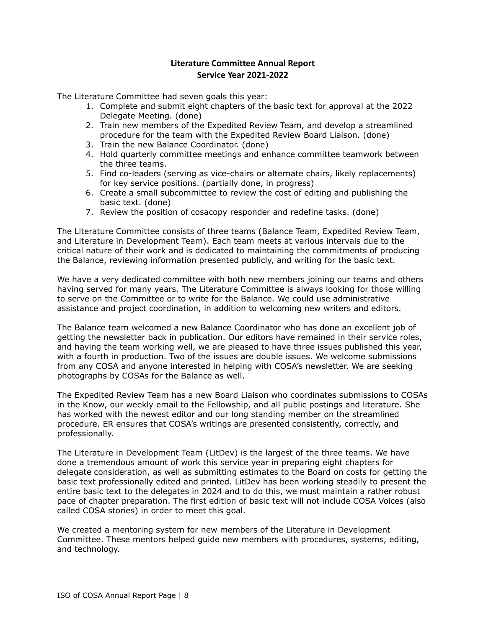## **Literature Committee Annual Report Service Year 2021-2022**

The Literature Committee had seven goals this year:

- 1. Complete and submit eight chapters of the basic text for approval at the 2022 Delegate Meeting. (done)
- 2. Train new members of the Expedited Review Team, and develop a streamlined procedure for the team with the Expedited Review Board Liaison. (done)
- 3. Train the new Balance Coordinator. (done)
- 4. Hold quarterly committee meetings and enhance committee teamwork between the three teams.
- 5. Find co-leaders (serving as vice-chairs or alternate chairs, likely replacements) for key service positions. (partially done, in progress)
- 6. Create a small subcommittee to review the cost of editing and publishing the basic text. (done)
- 7. Review the position of cosacopy responder and redefine tasks. (done)

The Literature Committee consists of three teams (Balance Team, Expedited Review Team, and Literature in Development Team). Each team meets at various intervals due to the critical nature of their work and is dedicated to maintaining the commitments of producing the Balance, reviewing information presented publicly, and writing for the basic text.

We have a very dedicated committee with both new members joining our teams and others having served for many years. The Literature Committee is always looking for those willing to serve on the Committee or to write for the Balance. We could use administrative assistance and project coordination, in addition to welcoming new writers and editors.

The Balance team welcomed a new Balance Coordinator who has done an excellent job of getting the newsletter back in publication. Our editors have remained in their service roles, and having the team working well, we are pleased to have three issues published this year, with a fourth in production. Two of the issues are double issues. We welcome submissions from any COSA and anyone interested in helping with COSA's newsletter. We are seeking photographs by COSAs for the Balance as well.

The Expedited Review Team has a new Board Liaison who coordinates submissions to COSAs in the Know, our weekly email to the Fellowship, and all public postings and literature. She has worked with the newest editor and our long standing member on the streamlined procedure. ER ensures that COSA's writings are presented consistently, correctly, and professionally.

The Literature in Development Team (LitDev) is the largest of the three teams. We have done a tremendous amount of work this service year in preparing eight chapters for delegate consideration, as well as submitting estimates to the Board on costs for getting the basic text professionally edited and printed. LitDev has been working steadily to present the entire basic text to the delegates in 2024 and to do this, we must maintain a rather robust pace of chapter preparation. The first edition of basic text will not include COSA Voices (also called COSA stories) in order to meet this goal.

We created a mentoring system for new members of the Literature in Development Committee. These mentors helped guide new members with procedures, systems, editing, and technology.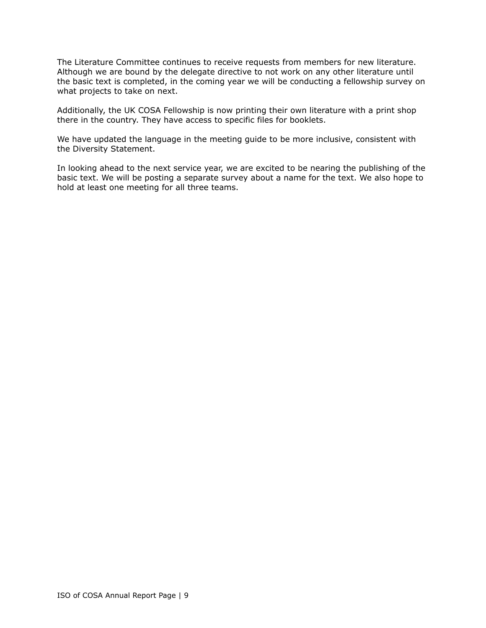The Literature Committee continues to receive requests from members for new literature. Although we are bound by the delegate directive to not work on any other literature until the basic text is completed, in the coming year we will be conducting a fellowship survey on what projects to take on next.

Additionally, the UK COSA Fellowship is now printing their own literature with a print shop there in the country. They have access to specific files for booklets.

We have updated the language in the meeting guide to be more inclusive, consistent with the Diversity Statement.

In looking ahead to the next service year, we are excited to be nearing the publishing of the basic text. We will be posting a separate survey about a name for the text. We also hope to hold at least one meeting for all three teams.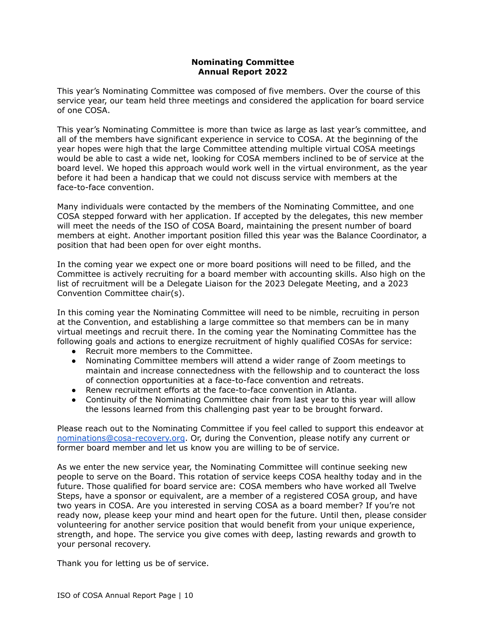## **Nominating Committee Annual Report 2022**

This year's Nominating Committee was composed of five members. Over the course of this service year, our team held three meetings and considered the application for board service of one COSA.

This year's Nominating Committee is more than twice as large as last year's committee, and all of the members have significant experience in service to COSA. At the beginning of the year hopes were high that the large Committee attending multiple virtual COSA meetings would be able to cast a wide net, looking for COSA members inclined to be of service at the board level. We hoped this approach would work well in the virtual environment, as the year before it had been a handicap that we could not discuss service with members at the face-to-face convention.

Many individuals were contacted by the members of the Nominating Committee, and one COSA stepped forward with her application. If accepted by the delegates, this new member will meet the needs of the ISO of COSA Board, maintaining the present number of board members at eight. Another important position filled this year was the Balance Coordinator, a position that had been open for over eight months.

In the coming year we expect one or more board positions will need to be filled, and the Committee is actively recruiting for a board member with accounting skills. Also high on the list of recruitment will be a Delegate Liaison for the 2023 Delegate Meeting, and a 2023 Convention Committee chair(s).

In this coming year the Nominating Committee will need to be nimble, recruiting in person at the Convention, and establishing a large committee so that members can be in many virtual meetings and recruit there. In the coming year the Nominating Committee has the following goals and actions to energize recruitment of highly qualified COSAs for service:

- Recruit more members to the Committee.
- Nominating Committee members will attend a wider range of Zoom meetings to maintain and increase connectedness with the fellowship and to counteract the loss of connection opportunities at a face-to-face convention and retreats.
- Renew recruitment efforts at the face-to-face convention in Atlanta.
- Continuity of the Nominating Committee chair from last year to this year will allow the lessons learned from this challenging past year to be brought forward.

Please reach out to the Nominating Committee if you feel called to support this endeavor at [nominations@cosa-recovery.org](mailto:nominations@cosa-recovery.org). Or, during the Convention, please notify any current or former board member and let us know you are willing to be of service.

As we enter the new service year, the Nominating Committee will continue seeking new people to serve on the Board. This rotation of service keeps COSA healthy today and in the future. Those qualified for board service are: COSA members who have worked all Twelve Steps, have a sponsor or equivalent, are a member of a registered COSA group, and have two years in COSA. Are you interested in serving COSA as a board member? If you're not ready now, please keep your mind and heart open for the future. Until then, please consider volunteering for another service position that would benefit from your unique experience, strength, and hope. The service you give comes with deep, lasting rewards and growth to your personal recovery.

Thank you for letting us be of service.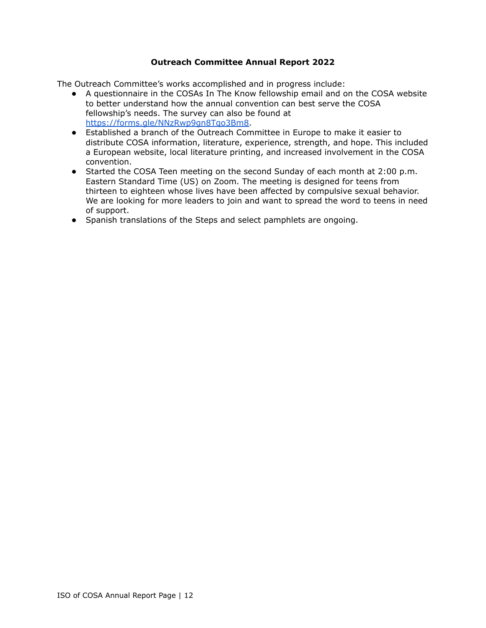## **Outreach Committee Annual Report 2022**

The Outreach Committee's works accomplished and in progress include:

- A questionnaire in the COSAs In The Know fellowship email and on the COSA website to better understand how the annual convention can best serve the COSA fellowship's needs. The survey can also be found at [https://forms.gle/NNzRwp9gn8Tqo3Bm8.](https://forms.gle/NNzRwp9gn8Tqo3Bm8)
- Established a branch of the Outreach Committee in Europe to make it easier to distribute COSA information, literature, experience, strength, and hope. This included a European website, local literature printing, and increased involvement in the COSA convention.
- Started the COSA Teen meeting on the second Sunday of each month at 2:00 p.m. Eastern Standard Time (US) on Zoom. The meeting is designed for teens from thirteen to eighteen whose lives have been affected by compulsive sexual behavior. We are looking for more leaders to join and want to spread the word to teens in need of support.
- Spanish translations of the Steps and select pamphlets are ongoing.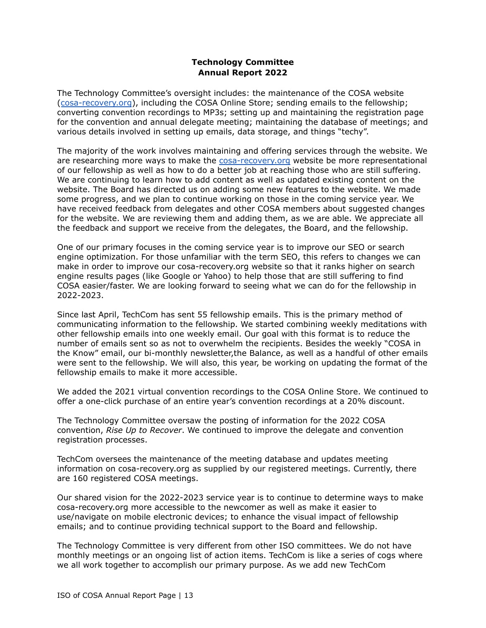## **Technology Committee Annual Report 2022**

The Technology Committee's oversight includes: the maintenance of the COSA website ([cosa-recovery.org](https://cosa-recovery.org/)), including the COSA Online Store; sending emails to the fellowship; converting convention recordings to MP3s; setting up and maintaining the registration page for the convention and annual delegate meeting; maintaining the database of meetings; and various details involved in setting up emails, data storage, and things "techy".

The majority of the work involves maintaining and offering services through the website. We are researching more ways to make the [cosa-recovery.org](https://cosa-recovery.org/) website be more representational of our fellowship as well as how to do a better job at reaching those who are still suffering. We are continuing to learn how to add content as well as updated existing content on the website. The Board has directed us on adding some new features to the website. We made some progress, and we plan to continue working on those in the coming service year. We have received feedback from delegates and other COSA members about suggested changes for the website. We are reviewing them and adding them, as we are able. We appreciate all the feedback and support we receive from the delegates, the Board, and the fellowship.

One of our primary focuses in the coming service year is to improve our SEO or search engine optimization. For those unfamiliar with the term SEO, this refers to changes we can make in order to improve our cosa-recovery.org website so that it ranks higher on search engine results pages (like Google or Yahoo) to help those that are still suffering to find COSA easier/faster. We are looking forward to seeing what we can do for the fellowship in 2022-2023.

Since last April, TechCom has sent 55 fellowship emails. This is the primary method of communicating information to the fellowship. We started combining weekly meditations with other fellowship emails into one weekly email. Our goal with this format is to reduce the number of emails sent so as not to overwhelm the recipients. Besides the weekly "COSA in the Know" email, our bi-monthly newsletter,the Balance, as well as a handful of other emails were sent to the fellowship. We will also, this year, be working on updating the format of the fellowship emails to make it more accessible.

We added the 2021 virtual convention recordings to the COSA Online Store. We continued to offer a one-click purchase of an entire year's convention recordings at a 20% discount.

The Technology Committee oversaw the posting of information for the 2022 COSA convention, *Rise Up to Recover*. We continued to improve the delegate and convention registration processes.

TechCom oversees the maintenance of the meeting database and updates meeting information on cosa-recovery.org as supplied by our registered meetings. Currently, there are 160 registered COSA meetings.

Our shared vision for the 2022-2023 service year is to continue to determine ways to make cosa-recovery.org more accessible to the newcomer as well as make it easier to use/navigate on mobile electronic devices; to enhance the visual impact of fellowship emails; and to continue providing technical support to the Board and fellowship.

The Technology Committee is very different from other ISO committees. We do not have monthly meetings or an ongoing list of action items. TechCom is like a series of cogs where we all work together to accomplish our primary purpose. As we add new TechCom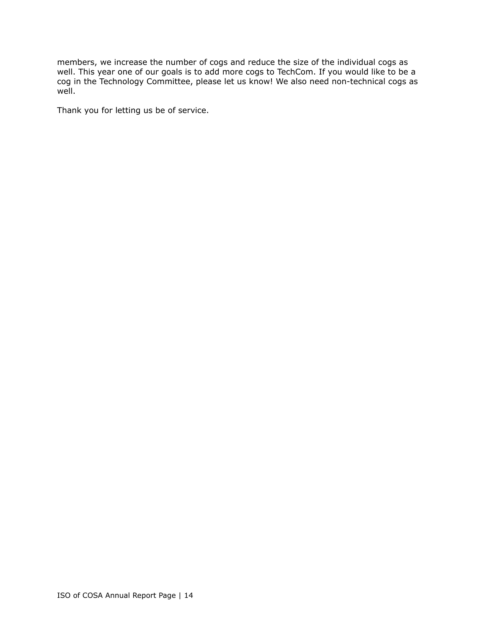members, we increase the number of cogs and reduce the size of the individual cogs as well. This year one of our goals is to add more cogs to TechCom. If you would like to be a cog in the Technology Committee, please let us know! We also need non-technical cogs as well.

Thank you for letting us be of service.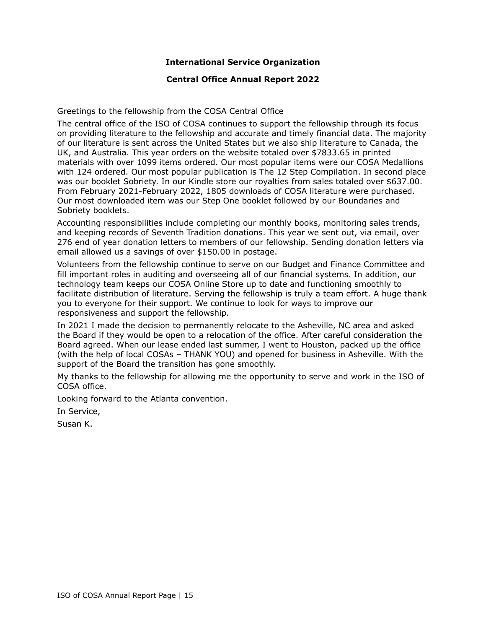## **International Service Organization**

### **Central Office Annual Report 2022**

Greetings to the fellowship from the COSA Central Office

The central office of the ISO of COSA continues to support the fellowship through its focus on providing literature to the fellowship and accurate and timely financial data. The majority of our literature is sent across the United States but we also ship literature to Canada, the UK, and Australia. This year orders on the website totaled over \$7833.65 in printed materials with over 1099 items ordered. Our most popular items were our COSA Medallions with 124 ordered. Our most popular publication is The 12 Step Compilation. In second place was our booklet Sobriety. In our Kindle store our royalties from sales totaled over \$637.00. From February 2021-February 2022, 1805 downloads of COSA literature were purchased. Our most downloaded item was our Step One booklet followed by our Boundaries and Sobriety booklets.

Accounting responsibilities include completing our monthly books, monitoring sales trends, and keeping records of Seventh Tradition donations. This year we sent out, via email, over 276 end of year donation letters to members of our fellowship. Sending donation letters via email allowed us a savings of over \$150.00 in postage.

Volunteers from the fellowship continue to serve on our Budget and Finance Committee and fill important roles in auditing and overseeing all of our financial systems. In addition, our technology team keeps our COSA Online Store up to date and functioning smoothly to facilitate distribution of literature. Serving the fellowship is truly a team effort. A huge thank you to everyone for their support. We continue to look for ways to improve our responsiveness and support the fellowship.

In 2021 I made the decision to permanently relocate to the Asheville, NC area and asked the Board if they would be open to a relocation of the office. After careful consideration the Board agreed. When our lease ended last summer, I went to Houston, packed up the office (with the help of local COSAs – THANK YOU) and opened for business in Asheville. With the support of the Board the transition has gone smoothly.

My thanks to the fellowship for allowing me the opportunity to serve and work in the ISO of COSA office.

Looking forward to the Atlanta convention.

In Service,

Susan K.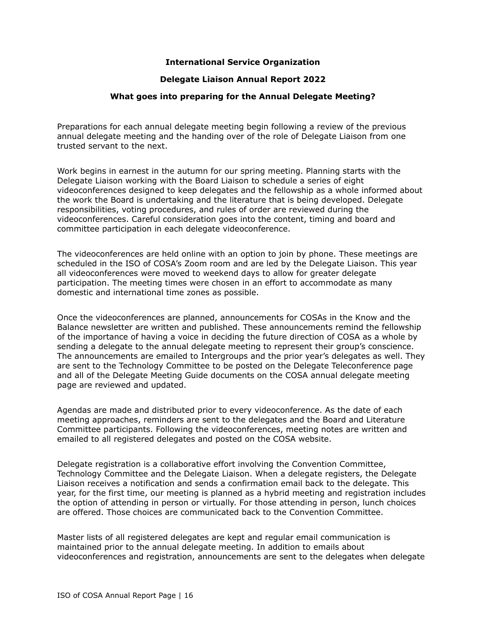### **International Service Organization**

#### **Delegate Liaison Annual Report 2022**

#### **What goes into preparing for the Annual Delegate Meeting?**

Preparations for each annual delegate meeting begin following a review of the previous annual delegate meeting and the handing over of the role of Delegate Liaison from one trusted servant to the next.

Work begins in earnest in the autumn for our spring meeting. Planning starts with the Delegate Liaison working with the Board Liaison to schedule a series of eight videoconferences designed to keep delegates and the fellowship as a whole informed about the work the Board is undertaking and the literature that is being developed. Delegate responsibilities, voting procedures, and rules of order are reviewed during the videoconferences. Careful consideration goes into the content, timing and board and committee participation in each delegate videoconference.

The videoconferences are held online with an option to join by phone. These meetings are scheduled in the ISO of COSA's Zoom room and are led by the Delegate Liaison. This year all videoconferences were moved to weekend days to allow for greater delegate participation. The meeting times were chosen in an effort to accommodate as many domestic and international time zones as possible.

Once the videoconferences are planned, announcements for COSAs in the Know and the Balance newsletter are written and published. These announcements remind the fellowship of the importance of having a voice in deciding the future direction of COSA as a whole by sending a delegate to the annual delegate meeting to represent their group's conscience. The announcements are emailed to Intergroups and the prior year's delegates as well. They are sent to the Technology Committee to be posted on the Delegate Teleconference page and all of the Delegate Meeting Guide documents on the COSA annual delegate meeting page are reviewed and updated.

Agendas are made and distributed prior to every videoconference. As the date of each meeting approaches, reminders are sent to the delegates and the Board and Literature Committee participants. Following the videoconferences, meeting notes are written and emailed to all registered delegates and posted on the COSA website.

Delegate registration is a collaborative effort involving the Convention Committee, Technology Committee and the Delegate Liaison. When a delegate registers, the Delegate Liaison receives a notification and sends a confirmation email back to the delegate. This year, for the first time, our meeting is planned as a hybrid meeting and registration includes the option of attending in person or virtually. For those attending in person, lunch choices are offered. Those choices are communicated back to the Convention Committee.

Master lists of all registered delegates are kept and regular email communication is maintained prior to the annual delegate meeting. In addition to emails about videoconferences and registration, announcements are sent to the delegates when delegate